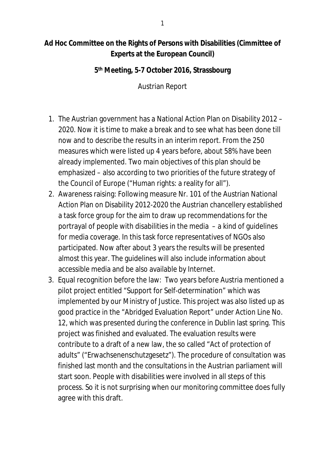## **Ad Hoc Committee on the Rights of Persons with Disabilities (Cimmittee of Experts at the European Council)**

**5 th Meeting, 5-7 October 2016, Strassbourg**

Austrian Report

- 1. The Austrian government has a National Action Plan on Disability 2012 2020. Now it is time to make a break and to see what has been done till now and to describe the results in an interim report. From the 250 measures which were listed up 4 years before, about 58% have been already implemented. Two main objectives of this plan should be emphasized – also according to two priorities of the future strategy of the Council of Europe ("Human rights: a reality for all").
- 2. Awareness raising: Following measure Nr. 101 of the Austrian National Action Plan on Disability 2012-2020 the Austrian chancellery established a task force group for the aim to draw up recommendations for the portrayal of people with disabilities in the media – a kind of guidelines for media coverage. In this task force representatives of NGOs also participated. Now after about 3 years the results will be presented almost this year. The guidelines will also include information about accessible media and be also available by Internet.
- 3. Equal recognition before the law: Two years before Austria mentioned a pilot project entitled "Support for Self-determination" which was implemented by our Ministry of Justice. This project was also listed up as good practice in the "Abridged Evaluation Report" under Action Line No. 12, which was presented during the conference in Dublin last spring. This project was finished and evaluated. The evaluation results were contribute to a draft of a new law, the so called "Act of protection of adults" ("Erwachsenenschutzgesetz"). The procedure of consultation was finished last month and the consultations in the Austrian parliament will start soon. People with disabilities were involved in all steps of this process. So it is not surprising when our monitoring committee does fully agree with this draft.